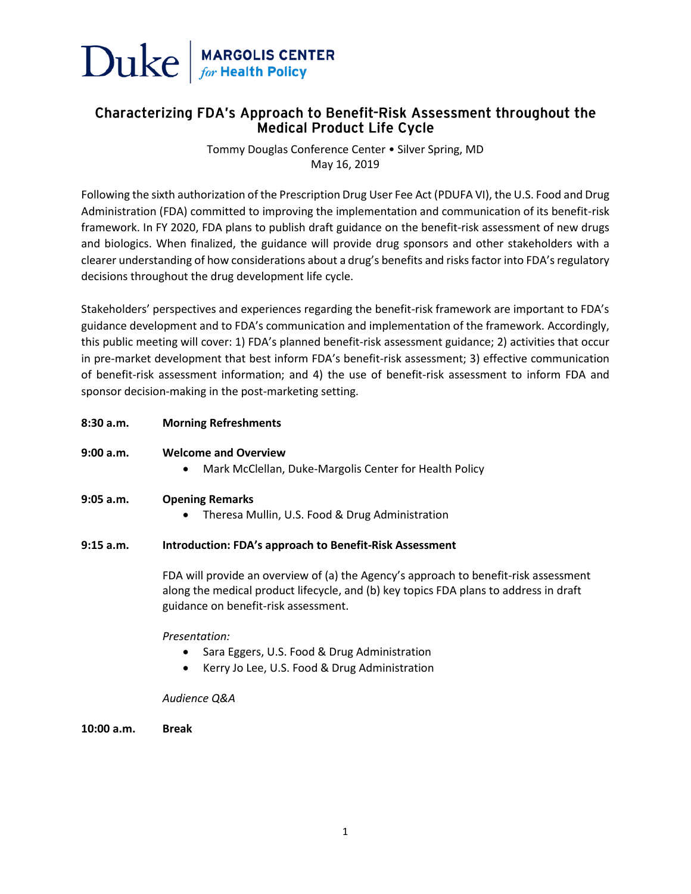

# Characterizing FDA's Approach to Benefit-Risk Assessment throughout the **Medical Product Life Cycle**

Tommy Douglas Conference Center • Silver Spring, MD May 16, 2019

Following the sixth authorization of the Prescription Drug User Fee Act (PDUFA VI), the U.S. Food and Drug Administration (FDA) committed to improving the implementation and communication of its benefit-risk framework. In FY 2020, FDA plans to publish draft guidance on the benefit-risk assessment of new drugs and biologics. When finalized, the guidance will provide drug sponsors and other stakeholders with a clearer understanding of how considerations about a drug's benefits and risks factor into FDA's regulatory decisions throughout the drug development life cycle.

Stakeholders' perspectives and experiences regarding the benefit-risk framework are important to FDA's guidance development and to FDA's communication and implementation of the framework. Accordingly, this public meeting will cover: 1) FDA's planned benefit-risk assessment guidance; 2) activities that occur in pre-market development that best inform FDA's benefit-risk assessment; 3) effective communication of benefit-risk assessment information; and 4) the use of benefit-risk assessment to inform FDA and sponsor decision-making in the post-marketing setting.

**8:30 a.m. Morning Refreshments**

# **9:00 a.m. Welcome and Overview**

• Mark McClellan, Duke-Margolis Center for Health Policy

#### **9:05 a.m. Opening Remarks**

• Theresa Mullin, U.S. Food & Drug Administration

#### **9:15 a.m. Introduction: FDA's approach to Benefit-Risk Assessment**

FDA will provide an overview of (a) the Agency's approach to benefit-risk assessment along the medical product lifecycle, and (b) key topics FDA plans to address in draft guidance on benefit-risk assessment.

#### *Presentation:*

- Sara Eggers, U.S. Food & Drug Administration
- Kerry Jo Lee, U.S. Food & Drug Administration

#### *Audience Q&A*

**10:00 a.m. Break**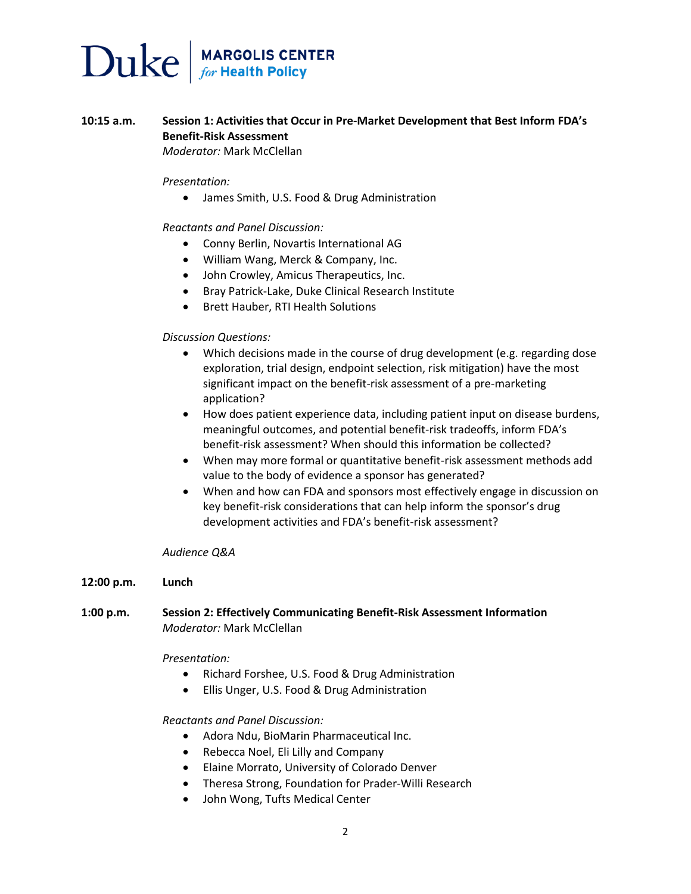# $\sum$ uke  $\int_{\text{for Health Policy}}^{\text{MARGOLIS CENTER}}$

# **10:15 a.m. Session 1: Activities that Occur in Pre-Market Development that Best Inform FDA's Benefit-Risk Assessment** *Moderator:* Mark McClellan

*Presentation:*

• James Smith, U.S. Food & Drug Administration

#### *Reactants and Panel Discussion:*

- Conny Berlin, Novartis International AG
- William Wang, Merck & Company, Inc.
- John Crowley, Amicus Therapeutics, Inc.
- Bray Patrick-Lake, Duke Clinical Research Institute
- Brett Hauber, RTI Health Solutions

#### *Discussion Questions:*

- Which decisions made in the course of drug development (e.g. regarding dose exploration, trial design, endpoint selection, risk mitigation) have the most significant impact on the benefit-risk assessment of a pre-marketing application?
- How does patient experience data, including patient input on disease burdens, meaningful outcomes, and potential benefit-risk tradeoffs, inform FDA's benefit-risk assessment? When should this information be collected?
- When may more formal or quantitative benefit-risk assessment methods add value to the body of evidence a sponsor has generated?
- When and how can FDA and sponsors most effectively engage in discussion on key benefit-risk considerations that can help inform the sponsor's drug development activities and FDA's benefit-risk assessment?

#### *Audience Q&A*

#### **12:00 p.m. Lunch**

# **1:00 p.m. Session 2: Effectively Communicating Benefit-Risk Assessment Information** *Moderator:* Mark McClellan

#### *Presentation:*

- Richard Forshee, U.S. Food & Drug Administration
- Ellis Unger, U.S. Food & Drug Administration

# *Reactants and Panel Discussion:*

- Adora Ndu, BioMarin Pharmaceutical Inc.
- Rebecca Noel, Eli Lilly and Company
- Elaine Morrato, University of Colorado Denver
- Theresa Strong, Foundation for Prader-Willi Research
- John Wong, Tufts Medical Center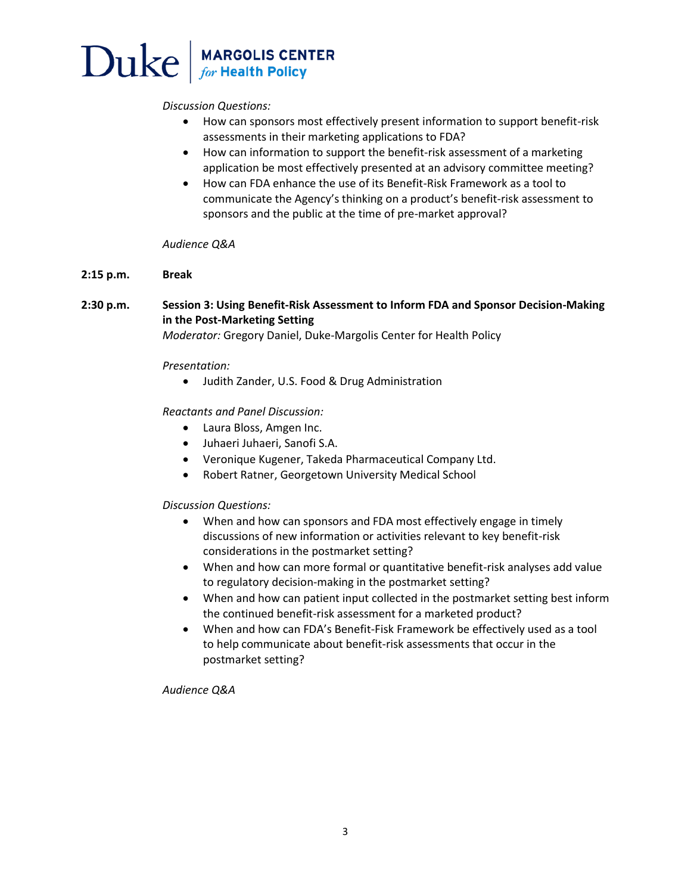# **MARGOLIS CENTER**<br>for Health Policy Duke

*Discussion Questions:*

- How can sponsors most effectively present information to support benefit-risk assessments in their marketing applications to FDA?
- How can information to support the benefit-risk assessment of a marketing application be most effectively presented at an advisory committee meeting?
- How can FDA enhance the use of its Benefit-Risk Framework as a tool to communicate the Agency's thinking on a product's benefit-risk assessment to sponsors and the public at the time of pre-market approval?

# *Audience Q&A*

# **2:15 p.m. Break**

# **2:30 p.m. Session 3: Using Benefit-Risk Assessment to Inform FDA and Sponsor Decision-Making in the Post-Marketing Setting**

*Moderator:* Gregory Daniel, Duke-Margolis Center for Health Policy

# *Presentation:*

• Judith Zander, U.S. Food & Drug Administration

# *Reactants and Panel Discussion:*

- Laura Bloss, Amgen Inc.
- Juhaeri Juhaeri, Sanofi S.A.
- Veronique Kugener, Takeda Pharmaceutical Company Ltd.
- Robert Ratner, Georgetown University Medical School

# *Discussion Questions:*

- When and how can sponsors and FDA most effectively engage in timely discussions of new information or activities relevant to key benefit-risk considerations in the postmarket setting?
- When and how can more formal or quantitative benefit-risk analyses add value to regulatory decision-making in the postmarket setting?
- When and how can patient input collected in the postmarket setting best inform the continued benefit-risk assessment for a marketed product?
- When and how can FDA's Benefit-Fisk Framework be effectively used as a tool to help communicate about benefit-risk assessments that occur in the postmarket setting?

# *Audience Q&A*